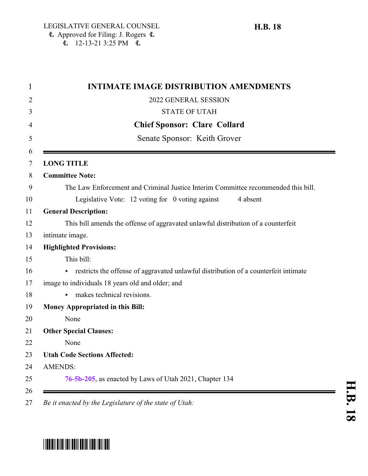| <b>INTIMATE IMAGE DISTRIBUTION AMENDMENTS</b>                                       |
|-------------------------------------------------------------------------------------|
| 2022 GENERAL SESSION                                                                |
| <b>STATE OF UTAH</b>                                                                |
| <b>Chief Sponsor: Clare Collard</b>                                                 |
| Senate Sponsor: Keith Grover                                                        |
| <b>LONG TITLE</b>                                                                   |
| <b>Committee Note:</b>                                                              |
| The Law Enforcement and Criminal Justice Interim Committee recommended this bill.   |
| Legislative Vote: $12$ voting for 0 voting against<br>4 absent                      |
| <b>General Description:</b>                                                         |
| This bill amends the offense of aggravated unlawful distribution of a counterfeit   |
| intimate image.                                                                     |
| <b>Highlighted Provisions:</b>                                                      |
| This bill:                                                                          |
| restricts the offense of aggravated unlawful distribution of a counterfeit intimate |
| image to individuals 18 years old and older; and                                    |
| makes technical revisions.<br>▶                                                     |
| <b>Money Appropriated in this Bill:</b>                                             |
| None                                                                                |
| <b>Other Special Clauses:</b>                                                       |
| None                                                                                |
| <b>Utah Code Sections Affected:</b>                                                 |
| <b>AMENDS:</b>                                                                      |
| 76-5b-205, as enacted by Laws of Utah 2021, Chapter 134                             |

*Be it enacted by the Legislature of the state of Utah:*

## \*HB0018\*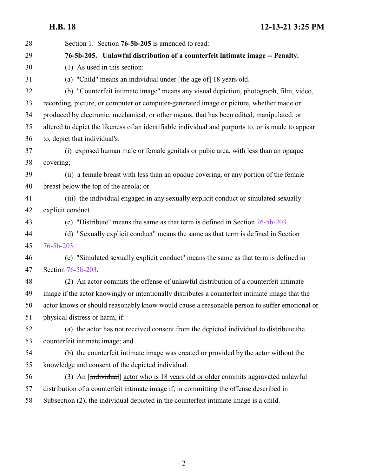<span id="page-1-0"></span>**H.B. 18 12-13-21 3:25 PM**

| 28 | Section 1. Section <b>76-5b-205</b> is amended to read:                                            |
|----|----------------------------------------------------------------------------------------------------|
| 29 | 76-5b-205. Unlawful distribution of a counterfeit intimate image -- Penalty.                       |
| 30 | $(1)$ As used in this section:                                                                     |
| 31 | (a) "Child" means an individual under [the age of] 18 years old.                                   |
| 32 | (b) "Counterfeit intimate image" means any visual depiction, photograph, film, video,              |
| 33 | recording, picture, or computer or computer-generated image or picture, whether made or            |
| 34 | produced by electronic, mechanical, or other means, that has been edited, manipulated, or          |
| 35 | altered to depict the likeness of an identifiable individual and purports to, or is made to appear |
| 36 | to, depict that individual's:                                                                      |
| 37 | (i) exposed human male or female genitals or pubic area, with less than an opaque                  |
| 38 | covering;                                                                                          |
| 39 | (ii) a female breast with less than an opaque covering, or any portion of the female               |
| 40 | breast below the top of the areola; or                                                             |
| 41 | (iii) the individual engaged in any sexually explicit conduct or simulated sexually                |
| 42 | explicit conduct.                                                                                  |
| 43 | (c) "Distribute" means the same as that term is defined in Section $76-5b-203$ .                   |
| 44 | (d) "Sexually explicit conduct" means the same as that term is defined in Section                  |
| 45 | $76 - 5b - 203$                                                                                    |
| 46 | (e) "Simulated sexually explicit conduct" means the same as that term is defined in                |
| 47 | Section 76-5b-203.                                                                                 |
| 48 | (2) An actor commits the offense of unlawful distribution of a counterfeit intimate                |
| 49 | image if the actor knowingly or intentionally distributes a counterfeit intimate image that the    |
| 50 | actor knows or should reasonably know would cause a reasonable person to suffer emotional or       |
| 51 | physical distress or harm, if:                                                                     |
| 52 | (a) the actor has not received consent from the depicted individual to distribute the              |
| 53 | counterfeit intimate image; and                                                                    |
| 54 | (b) the counterfeit intimate image was created or provided by the actor without the                |
| 55 | knowledge and consent of the depicted individual.                                                  |
| 56 | (3) An [individual] actor who is 18 years old or older commits aggravated unlawful                 |
| 57 | distribution of a counterfeit intimate image if, in committing the offense described in            |
| 58 | Subsection (2), the individual depicted in the counterfeit intimate image is a child.              |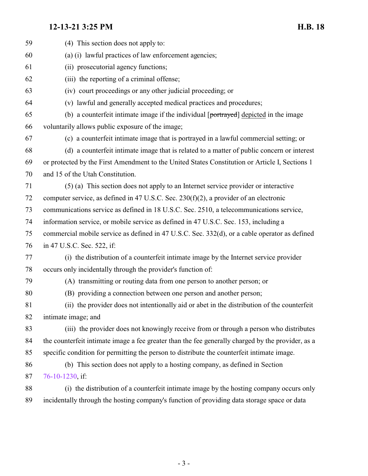## **12-13-21 3:25 PM H.B. 18**

| 59 | (4) This section does not apply to:                                                               |
|----|---------------------------------------------------------------------------------------------------|
| 60 | (a) (i) lawful practices of law enforcement agencies;                                             |
| 61 | (ii) prosecutorial agency functions;                                                              |
| 62 | (iii) the reporting of a criminal offense;                                                        |
| 63 | (iv) court proceedings or any other judicial proceeding; or                                       |
| 64 | (v) lawful and generally accepted medical practices and procedures;                               |
| 65 | (b) a counterfeit intimate image if the individual [portrayed] depicted in the image              |
| 66 | voluntarily allows public exposure of the image;                                                  |
| 67 | (c) a counterfeit intimate image that is portrayed in a lawful commercial setting; or             |
| 68 | (d) a counterfeit intimate image that is related to a matter of public concern or interest        |
| 69 | or protected by the First Amendment to the United States Constitution or Article I, Sections 1    |
| 70 | and 15 of the Utah Constitution.                                                                  |
| 71 | (5) (a) This section does not apply to an Internet service provider or interactive                |
| 72 | computer service, as defined in 47 U.S.C. Sec. $230(f)(2)$ , a provider of an electronic          |
| 73 | communications service as defined in 18 U.S.C. Sec. 2510, a telecommunications service,           |
| 74 | information service, or mobile service as defined in 47 U.S.C. Sec. 153, including a              |
| 75 | commercial mobile service as defined in 47 U.S.C. Sec. 332(d), or a cable operator as defined     |
| 76 | in 47 U.S.C. Sec. 522, if:                                                                        |
| 77 | (i) the distribution of a counterfeit intimate image by the Internet service provider             |
| 78 | occurs only incidentally through the provider's function of:                                      |
| 79 | (A) transmitting or routing data from one person to another person; or                            |
| 80 | (B) providing a connection between one person and another person;                                 |
| 81 | (ii) the provider does not intentionally aid or abet in the distribution of the counterfeit       |
| 82 | intimate image; and                                                                               |
| 83 | (iii) the provider does not knowingly receive from or through a person who distributes            |
| 84 | the counterfeit intimate image a fee greater than the fee generally charged by the provider, as a |
| 85 | specific condition for permitting the person to distribute the counterfeit intimate image.        |
| 86 | (b) This section does not apply to a hosting company, as defined in Section                       |
| 87 | 76-10-1230, if:                                                                                   |
| 88 | (i) the distribution of a counterfeit intimate image by the hosting company occurs only           |
| 89 | incidentally through the hosting company's function of providing data storage space or data       |